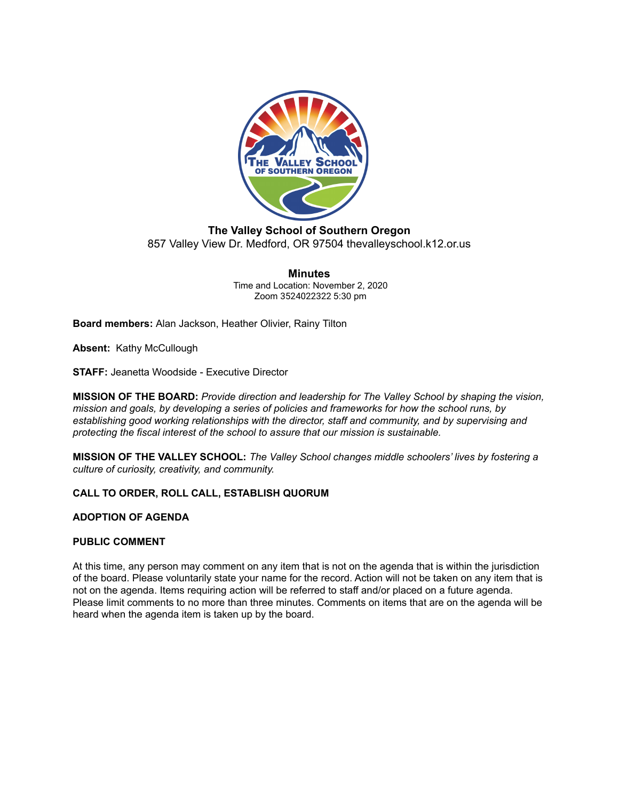

## **The Valley School of Southern Oregon** 857 Valley View Dr. Medford, OR 97504 thevalleyschool.k12.or.us

**Minutes** Time and Location: November 2, 2020 Zoom 3524022322 5:30 pm

**Board members:** Alan Jackson, Heather Olivier, Rainy Tilton

**Absent:** Kathy McCullough

**STAFF:** Jeanetta Woodside - Executive Director

**MISSION OF THE BOARD:** *Provide direction and leadership for The Valley School by shaping the vision, mission and goals, by developing a series of policies and frameworks for how the school runs, by establishing good working relationships with the director, staff and community, and by supervising and protecting the fiscal interest of the school to assure that our mission is sustainable.*

**MISSION OF THE VALLEY SCHOOL:** *The Valley School changes middle schoolers' lives by fostering a culture of curiosity, creativity, and community.*

#### **CALL TO ORDER, ROLL CALL, ESTABLISH QUORUM**

#### **ADOPTION OF AGENDA**

#### **PUBLIC COMMENT**

At this time, any person may comment on any item that is not on the agenda that is within the jurisdiction of the board. Please voluntarily state your name for the record. Action will not be taken on any item that is not on the agenda. Items requiring action will be referred to staff and/or placed on a future agenda. Please limit comments to no more than three minutes. Comments on items that are on the agenda will be heard when the agenda item is taken up by the board.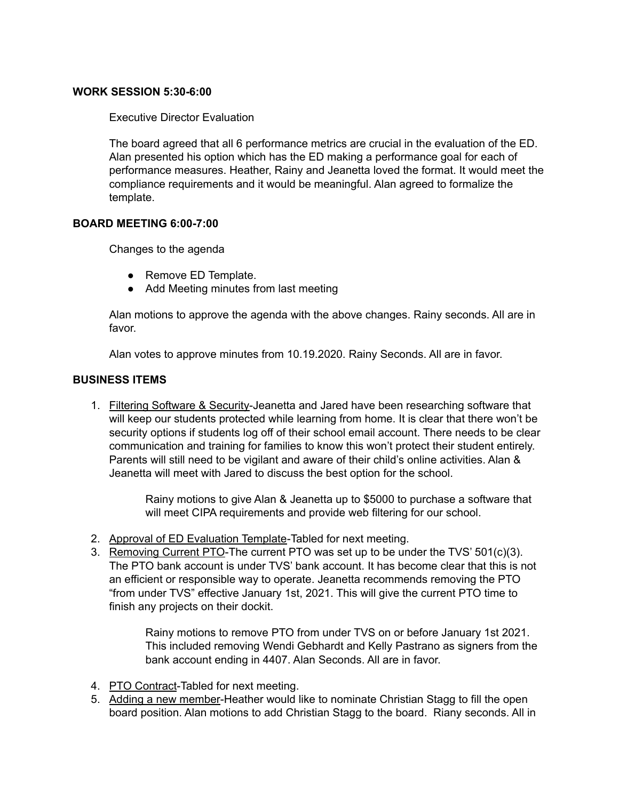## **WORK SESSION 5:30-6:00**

Executive Director Evaluation

The board agreed that all 6 performance metrics are crucial in the evaluation of the ED. Alan presented his option which has the ED making a performance goal for each of performance measures. Heather, Rainy and Jeanetta loved the format. It would meet the compliance requirements and it would be meaningful. Alan agreed to formalize the template.

## **BOARD MEETING 6:00-7:00**

Changes to the agenda

- Remove ED Template.
- Add Meeting minutes from last meeting

Alan motions to approve the agenda with the above changes. Rainy seconds. All are in favor.

Alan votes to approve minutes from 10.19.2020. Rainy Seconds. All are in favor.

## **BUSINESS ITEMS**

1. Filtering Software & Security-Jeanetta and Jared have been researching software that will keep our students protected while learning from home. It is clear that there won't be security options if students log off of their school email account. There needs to be clear communication and training for families to know this won't protect their student entirely. Parents will still need to be vigilant and aware of their child's online activities. Alan & Jeanetta will meet with Jared to discuss the best option for the school.

> Rainy motions to give Alan & Jeanetta up to \$5000 to purchase a software that will meet CIPA requirements and provide web filtering for our school.

- 2. Approval of ED Evaluation Template-Tabled for next meeting.
- 3. Removing Current PTO-The current PTO was set up to be under the TVS' 501(c)(3). The PTO bank account is under TVS' bank account. It has become clear that this is not an efficient or responsible way to operate. Jeanetta recommends removing the PTO "from under TVS" effective January 1st, 2021. This will give the current PTO time to finish any projects on their dockit.

Rainy motions to remove PTO from under TVS on or before January 1st 2021. This included removing Wendi Gebhardt and Kelly Pastrano as signers from the bank account ending in 4407. Alan Seconds. All are in favor.

- 4. PTO Contract-Tabled for next meeting.
- 5. Adding a new member-Heather would like to nominate Christian Stagg to fill the open board position. Alan motions to add Christian Stagg to the board. Riany seconds. All in